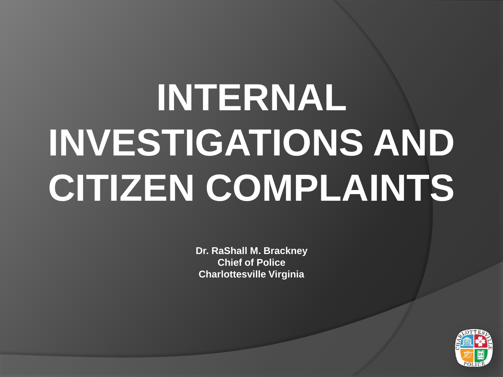# **INTERNAL INVESTIGATIONS AND CITIZEN COMPLAINTS**

**Dr. RaShall M. Brackney Chief of Police Charlottesville Virginia**

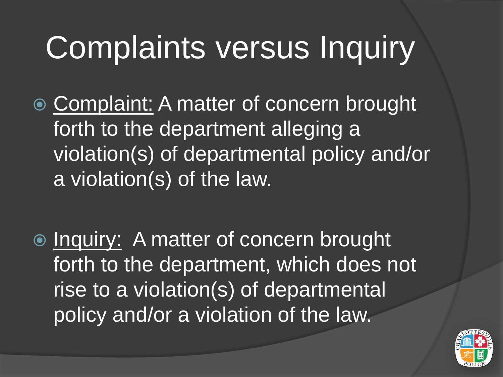# Complaints versus Inquiry

- **Complaint: A matter of concern brought** forth to the department alleging a violation(s) of departmental policy and/or a violation(s) of the law.
- **■** Inquiry: A matter of concern brought forth to the department, which does not rise to a violation(s) of departmental policy and/or a violation of the law.

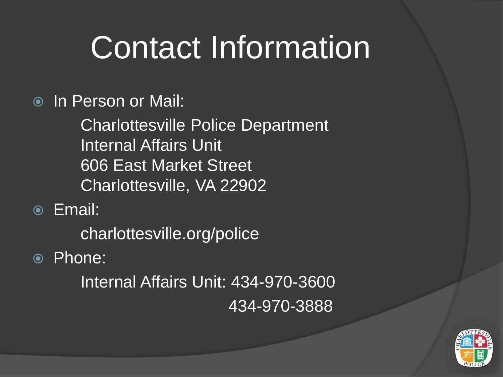# Contact Information

In Person or Mail:

Charlottesville Police Department Internal Affairs Unit 606 East Market Street Charlottesville, VA 22902

Email:

charlottesville.org/police

#### Phone:

Internal Affairs Unit: 434-970-3600 434-970-3888

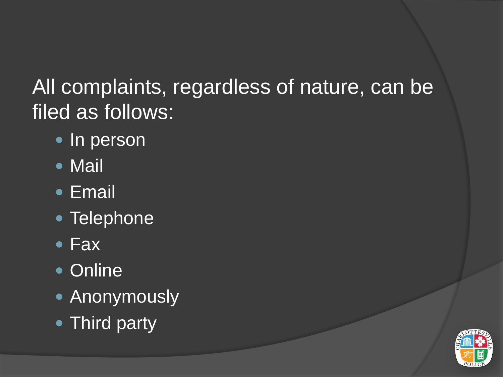#### All complaints, regardless of nature, can be filed as follows:

- · In person
- Mail
- Email
- Telephone
- Fax
- Online
- Anonymously
- Third party

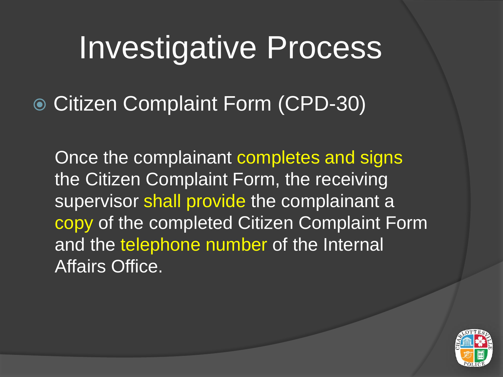Citizen Complaint Form (CPD-30)

Once the complainant completes and signs the Citizen Complaint Form, the receiving supervisor shall provide the complainant a copy of the completed Citizen Complaint Form and the telephone number of the Internal Affairs Office.

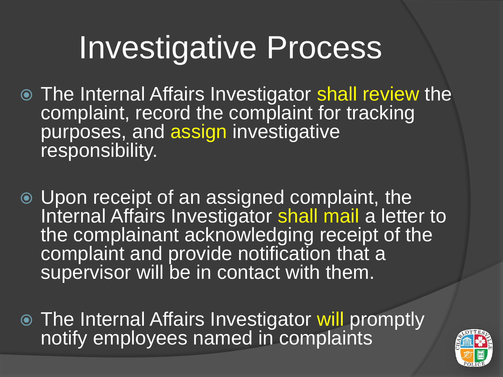- The Internal Affairs Investigator shall review the complaint, record the complaint for tracking purposes, and assign investigative responsibility.
- Upon receipt of an assigned complaint, the Internal Affairs Investigator shall mail a letter to the complainant acknowledging receipt of the complaint and provide notification that a supervisor will be in contact with them.
- The Internal Affairs Investigator will promptly notify employees named in complaints

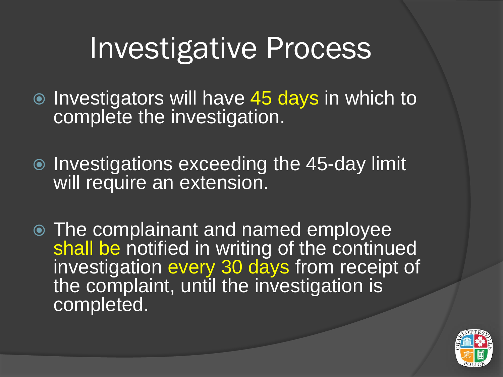- Investigators will have 45 days in which to complete the investigation.
- $\bullet$  Investigations exceeding the 45-day limit will require an extension.
- The complainant and named employee shall be notified in writing of the continued investigation every 30 days from receipt of the complaint, until the investigation is completed.

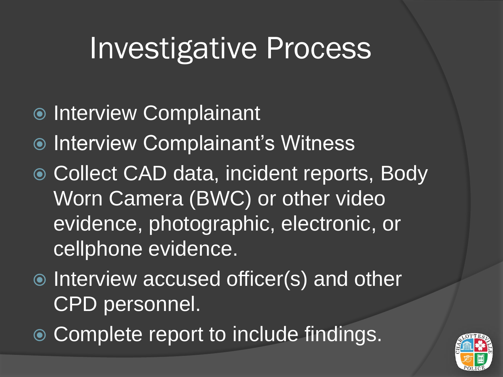- Interview Complainant
- **Interview Complainant's Witness**
- Collect CAD data, incident reports, Body Worn Camera (BWC) or other video evidence, photographic, electronic, or cellphone evidence.
- $\odot$  Interview accused officer(s) and other CPD personnel.
- Complete report to include findings.

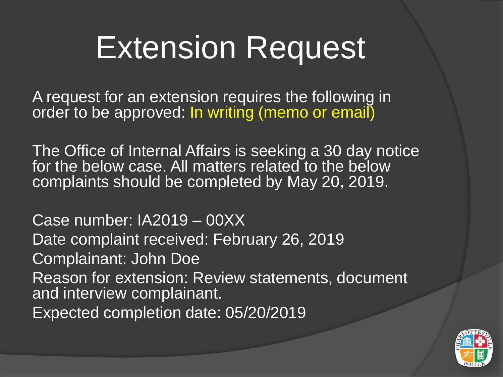## Extension Request

A request for an extension requires the following in order to be approved: In writing (memo or email)

The Office of Internal Affairs is seeking a 30 day notice for the below case. All matters related to the below complaints should be completed by May 20, 2019.

Case number: IA2019 – 00XX Date complaint received: February 26, 2019 Complainant: John Doe Reason for extension: Review statements, document and interview complainant. Expected completion date: 05/20/2019

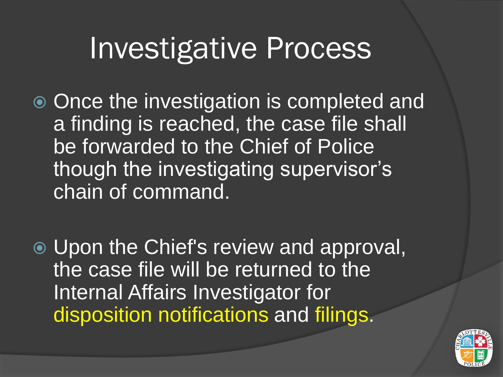- Once the investigation is completed and a finding is reached, the case file shall be forwarded to the Chief of Police though the investigating supervisor's chain of command.
- Upon the Chief's review and approval, the case file will be returned to the Internal Affairs Investigator for disposition notifications and filings.

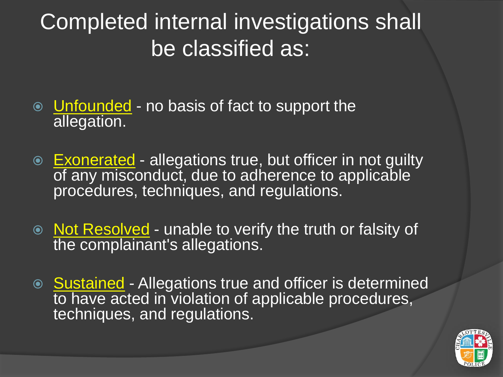#### Completed internal investigations shall be classified as:

- Unfounded no basis of fact to support the allegation.
- $\circ$  Exonerated allegations true, but officer in not guilty of any misconduct, due to adherence to applicable procedures, techniques, and regulations.
- Not Resolved unable to verify the truth or falsity of the complainant's allegations.
- Sustained Allegations true and officer is determined to have acted in violation of applicable procedures, techniques, and regulations.

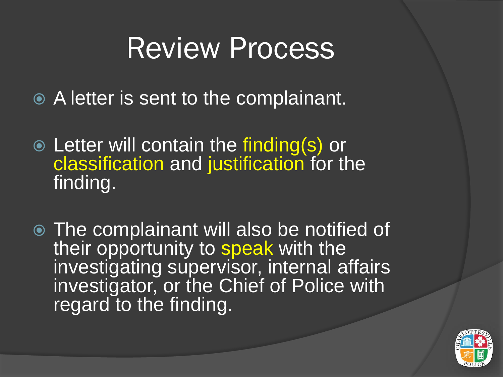### Review Process

- A letter is sent to the complainant.
- Letter will contain the finding(s) or classification and justification for the finding.
- The complainant will also be notified of their opportunity to speak with the investigating supervisor, internal affairs investigator, or the Chief of Police with regard to the finding.

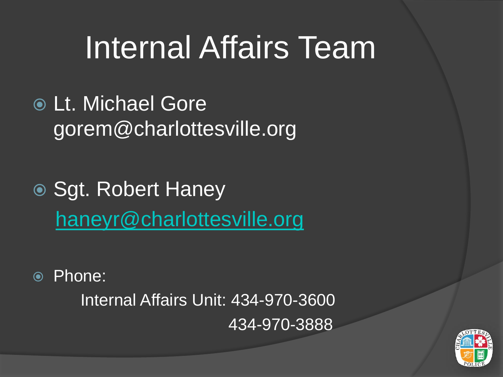# Internal Affairs Team

- Lt. Michael Gore gorem@charlottesville.org
- Sgt. Robert Haney [haneyr@charlottesville.org](mailto:haneyr@charlottesville.org)
- Phone:

Internal Affairs Unit: 434-970-3600 434-970-3888